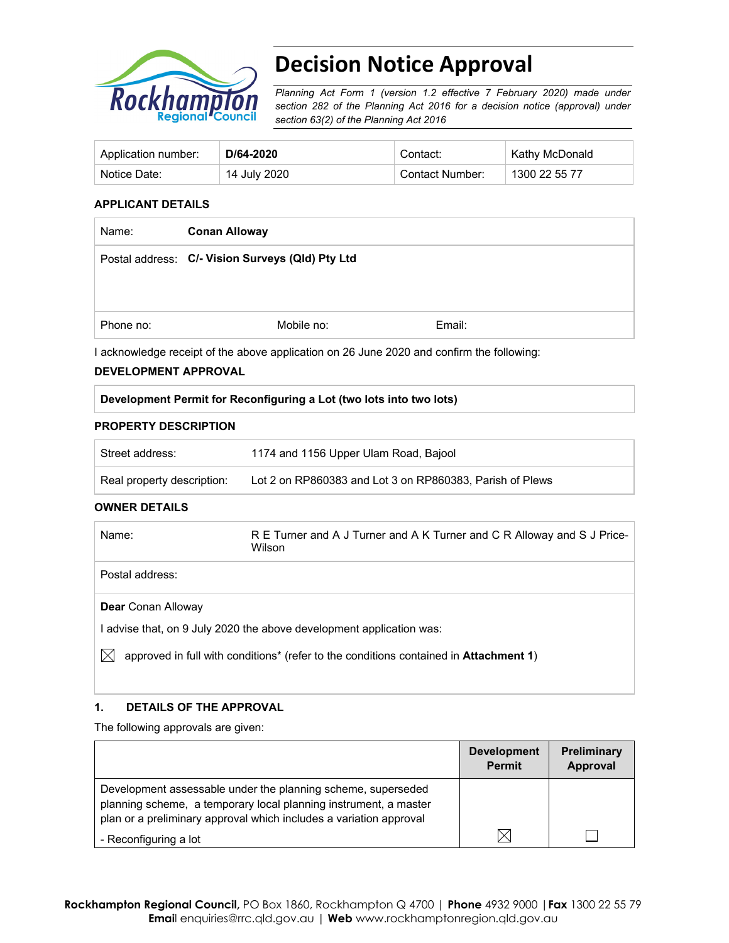

# **Decision Notice Approval**

*Planning Act Form 1 (version 1.2 effective 7 February 2020) made under section 282 of the Planning Act 2016 for a decision notice (approval) under section 63(2) of the Planning Act 2016*

| Application number: | D/64-2020    | Contact:        | Kathy McDonald |
|---------------------|--------------|-----------------|----------------|
| Notice Date:        | 14 July 2020 | Contact Number: | 1300 22 55 77  |

#### **APPLICANT DETAILS**

| Name:     | <b>Conan Alloway</b>                             |        |  |
|-----------|--------------------------------------------------|--------|--|
|           | Postal address: C/- Vision Surveys (QId) Pty Ltd |        |  |
|           |                                                  |        |  |
| Phone no: | Mobile no:                                       | Email: |  |

I acknowledge receipt of the above application on 26 June 2020 and confirm the following:

#### **DEVELOPMENT APPROVAL**

#### **Development Permit for Reconfiguring a Lot (two lots into two lots)**

#### **PROPERTY DESCRIPTION**

| Street address:            | 1174 and 1156 Upper Ulam Road, Bajool                    |
|----------------------------|----------------------------------------------------------|
| Real property description: | Lot 2 on RP860383 and Lot 3 on RP860383, Parish of Plews |

#### **OWNER DETAILS**

| Name:                     | R E Turner and A J Turner and A K Turner and C R Alloway and S J Price-<br>Wilson |
|---------------------------|-----------------------------------------------------------------------------------|
| Postal address:           |                                                                                   |
| <b>Dear</b> Conan Alloway |                                                                                   |
|                           | advise that, on 9 July 2020 the above development application was:                |

 $\boxtimes$  approved in full with conditions<sup>\*</sup> (refer to the conditions contained in **Attachment 1**)

## **1. DETAILS OF THE APPROVAL**

The following approvals are given:

|                                                                                                                                                                                                        | <b>Development</b><br><b>Permit</b> | <b>Preliminary</b><br>Approval |
|--------------------------------------------------------------------------------------------------------------------------------------------------------------------------------------------------------|-------------------------------------|--------------------------------|
| Development assessable under the planning scheme, superseded<br>planning scheme, a temporary local planning instrument, a master<br>plan or a preliminary approval which includes a variation approval |                                     |                                |
| - Reconfiguring a lot                                                                                                                                                                                  |                                     |                                |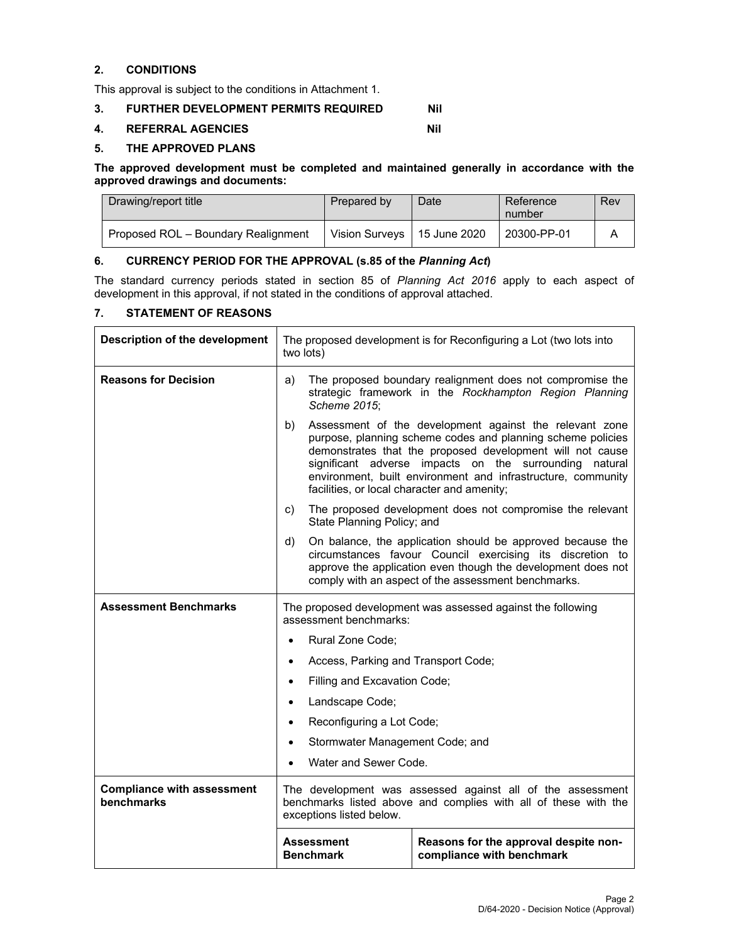## **2. CONDITIONS**

This approval is subject to the conditions in Attachment 1.

## **3. FURTHER DEVELOPMENT PERMITS REQUIRED Nil**

#### **4. REFERRAL AGENCIES Nil**

#### **5. THE APPROVED PLANS**

#### **The approved development must be completed and maintained generally in accordance with the approved drawings and documents:**

| Drawing/report title                | Prepared by           | Date         | Reference<br>number | Rev |
|-------------------------------------|-----------------------|--------------|---------------------|-----|
| Proposed ROL - Boundary Realignment | <b>Vision Survevs</b> | 15 June 2020 | 20300-PP-01         |     |

## **6. CURRENCY PERIOD FOR THE APPROVAL (s.85 of the** *Planning Act***)**

The standard currency periods stated in section 85 of *Planning Act 2016* apply to each aspect of development in this approval, if not stated in the conditions of approval attached.

#### **7. STATEMENT OF REASONS**

| Description of the development                  | The proposed development is for Reconfiguring a Lot (two lots into<br>two lots)                                                                                                                                                                                                                                                                                    |  |  |
|-------------------------------------------------|--------------------------------------------------------------------------------------------------------------------------------------------------------------------------------------------------------------------------------------------------------------------------------------------------------------------------------------------------------------------|--|--|
| <b>Reasons for Decision</b>                     | a)<br>The proposed boundary realignment does not compromise the<br>strategic framework in the Rockhampton Region Planning<br>Scheme 2015:                                                                                                                                                                                                                          |  |  |
|                                                 | Assessment of the development against the relevant zone<br>b)<br>purpose, planning scheme codes and planning scheme policies<br>demonstrates that the proposed development will not cause<br>significant adverse impacts on the surrounding natural<br>environment, built environment and infrastructure, community<br>facilities, or local character and amenity; |  |  |
|                                                 | The proposed development does not compromise the relevant<br>C)<br>State Planning Policy; and                                                                                                                                                                                                                                                                      |  |  |
|                                                 | d)<br>On balance, the application should be approved because the<br>circumstances favour Council exercising its discretion to<br>approve the application even though the development does not<br>comply with an aspect of the assessment benchmarks.                                                                                                               |  |  |
| <b>Assessment Benchmarks</b>                    | The proposed development was assessed against the following<br>assessment benchmarks:                                                                                                                                                                                                                                                                              |  |  |
|                                                 | Rural Zone Code;<br>$\bullet$                                                                                                                                                                                                                                                                                                                                      |  |  |
|                                                 | Access, Parking and Transport Code;<br>$\bullet$                                                                                                                                                                                                                                                                                                                   |  |  |
|                                                 | Filling and Excavation Code;<br>$\bullet$                                                                                                                                                                                                                                                                                                                          |  |  |
|                                                 | Landscape Code;<br>$\bullet$                                                                                                                                                                                                                                                                                                                                       |  |  |
|                                                 | Reconfiguring a Lot Code;                                                                                                                                                                                                                                                                                                                                          |  |  |
|                                                 | Stormwater Management Code; and<br>$\bullet$                                                                                                                                                                                                                                                                                                                       |  |  |
|                                                 | Water and Sewer Code.<br>$\bullet$                                                                                                                                                                                                                                                                                                                                 |  |  |
| <b>Compliance with assessment</b><br>benchmarks | The development was assessed against all of the assessment<br>benchmarks listed above and complies with all of these with the<br>exceptions listed below.                                                                                                                                                                                                          |  |  |
|                                                 | <b>Assessment</b><br>Reasons for the approval despite non-<br><b>Benchmark</b><br>compliance with benchmark                                                                                                                                                                                                                                                        |  |  |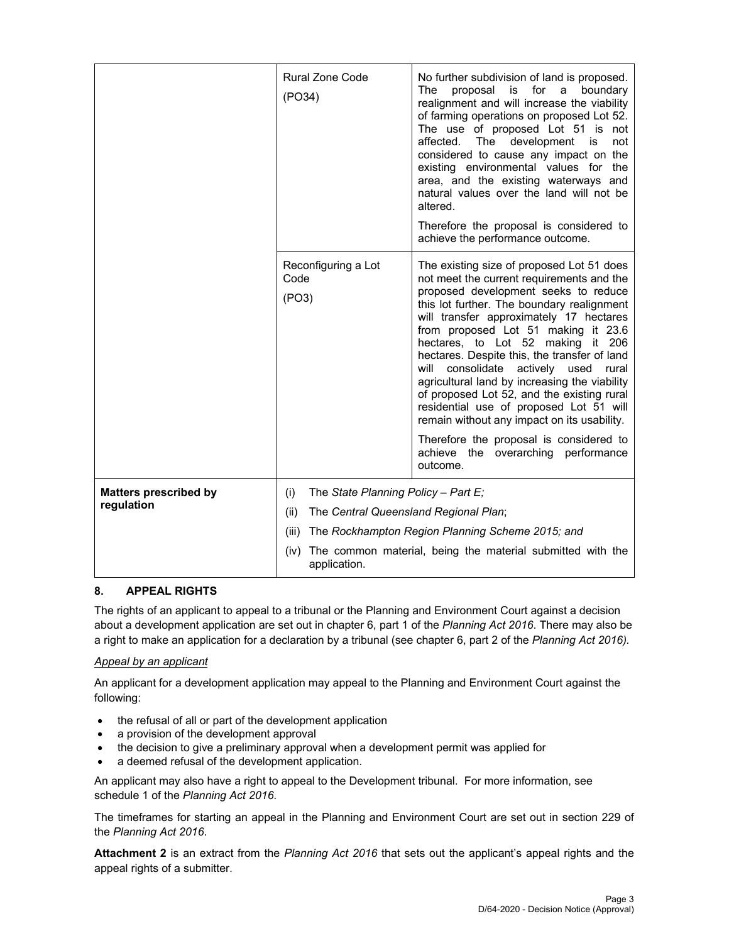|                              | <b>Rural Zone Code</b><br>(PO34)                                                   | No further subdivision of land is proposed.<br>proposal<br>for<br>The<br>is is<br>a<br>boundary<br>realignment and will increase the viability<br>of farming operations on proposed Lot 52.<br>The use of proposed Lot 51 is not<br>The<br>development<br>affected.<br>is i<br>not<br>considered to cause any impact on the<br>existing environmental values for the<br>area, and the existing waterways and<br>natural values over the land will not be<br>altered.<br>Therefore the proposal is considered to<br>achieve the performance outcome.                                                                                                                                            |  |
|------------------------------|------------------------------------------------------------------------------------|------------------------------------------------------------------------------------------------------------------------------------------------------------------------------------------------------------------------------------------------------------------------------------------------------------------------------------------------------------------------------------------------------------------------------------------------------------------------------------------------------------------------------------------------------------------------------------------------------------------------------------------------------------------------------------------------|--|
|                              | Reconfiguring a Lot<br>Code<br>(PO3)                                               | The existing size of proposed Lot 51 does<br>not meet the current requirements and the<br>proposed development seeks to reduce<br>this lot further. The boundary realignment<br>will transfer approximately 17 hectares<br>from proposed Lot 51 making it 23.6<br>hectares, to Lot 52 making it 206<br>hectares. Despite this, the transfer of land<br>consolidate<br>actively<br>will<br>used<br>rural<br>agricultural land by increasing the viability<br>of proposed Lot 52, and the existing rural<br>residential use of proposed Lot 51 will<br>remain without any impact on its usability.<br>Therefore the proposal is considered to<br>achieve the overarching performance<br>outcome. |  |
| <b>Matters prescribed by</b> | The State Planning Policy - Part E;<br>(i)                                         |                                                                                                                                                                                                                                                                                                                                                                                                                                                                                                                                                                                                                                                                                                |  |
| regulation                   | (ii)<br>The Central Queensland Regional Plan;                                      |                                                                                                                                                                                                                                                                                                                                                                                                                                                                                                                                                                                                                                                                                                |  |
|                              | The Rockhampton Region Planning Scheme 2015; and<br>(iii)                          |                                                                                                                                                                                                                                                                                                                                                                                                                                                                                                                                                                                                                                                                                                |  |
|                              | The common material, being the material submitted with the<br>(iv)<br>application. |                                                                                                                                                                                                                                                                                                                                                                                                                                                                                                                                                                                                                                                                                                |  |

## **8. APPEAL RIGHTS**

The rights of an applicant to appeal to a tribunal or the Planning and Environment Court against a decision about a development application are set out in chapter 6, part 1 of the *Planning Act 2016*. There may also be a right to make an application for a declaration by a tribunal (see chapter 6, part 2 of the *Planning Act 2016).*

## *Appeal by an applicant*

An applicant for a development application may appeal to the Planning and Environment Court against the following:

- the refusal of all or part of the development application
- a provision of the development approval
- the decision to give a preliminary approval when a development permit was applied for
- a deemed refusal of the development application.

An applicant may also have a right to appeal to the Development tribunal. For more information, see schedule 1 of the *Planning Act 2016*.

The timeframes for starting an appeal in the Planning and Environment Court are set out in section 229 of the *Planning Act 2016*.

**Attachment 2** is an extract from the *Planning Act 2016* that sets out the applicant's appeal rights and the appeal rights of a submitter.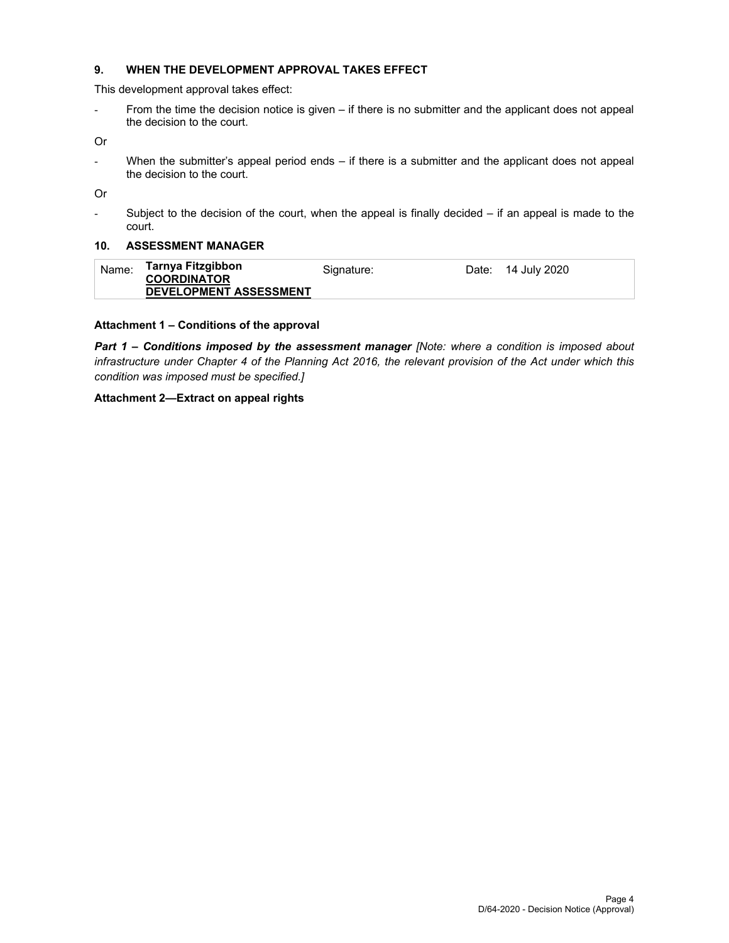## **9. WHEN THE DEVELOPMENT APPROVAL TAKES EFFECT**

This development approval takes effect:

- From the time the decision notice is given – if there is no submitter and the applicant does not appeal the decision to the court.

Or

- When the submitter's appeal period ends – if there is a submitter and the applicant does not appeal the decision to the court.

Or

- Subject to the decision of the court, when the appeal is finally decided – if an appeal is made to the court.

#### **10. ASSESSMENT MANAGER**

| Name: | Tarnya Fitzgibbon<br><b>COORDINATOR</b> | Signature: | Date: | 14 July 2020 |
|-------|-----------------------------------------|------------|-------|--------------|
|       | <b>DEVELOPMENT ASSESSMENT</b>           |            |       |              |

#### **Attachment 1 – Conditions of the approval**

*Part 1* **–** *Conditions imposed by the assessment manager [Note: where a condition is imposed about infrastructure under Chapter 4 of the Planning Act 2016, the relevant provision of the Act under which this condition was imposed must be specified.]*

#### **Attachment 2—Extract on appeal rights**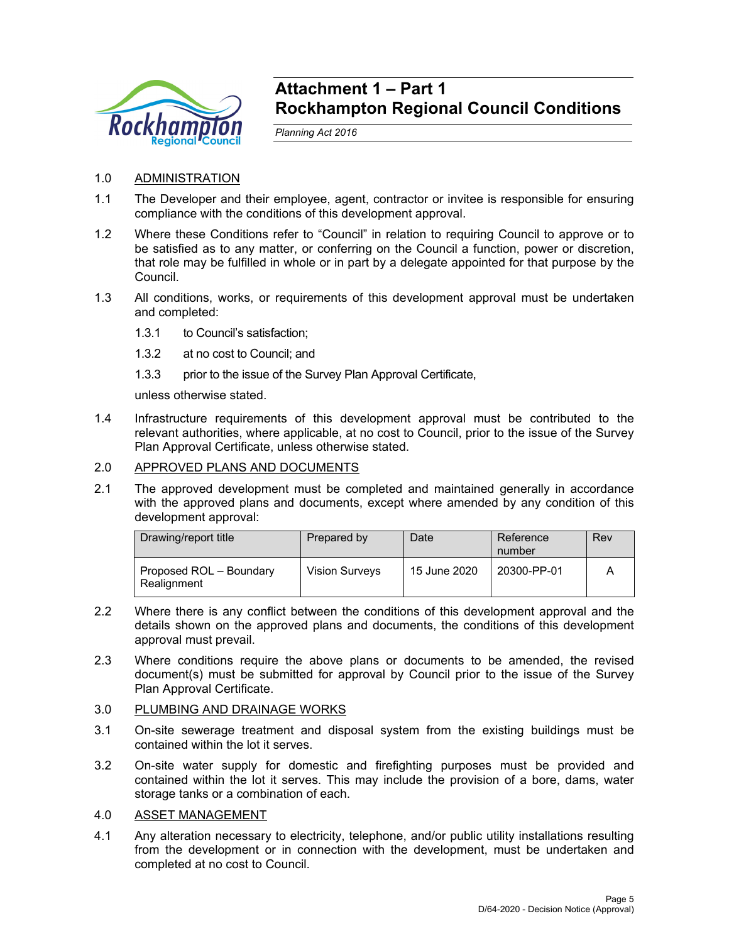

## **Attachment 1 – Part 1 Rockhampton Regional Council Conditions**

*Planning Act 2016* 

- 1.0 ADMINISTRATION
- 1.1 The Developer and their employee, agent, contractor or invitee is responsible for ensuring compliance with the conditions of this development approval.
- 1.2 Where these Conditions refer to "Council" in relation to requiring Council to approve or to be satisfied as to any matter, or conferring on the Council a function, power or discretion, that role may be fulfilled in whole or in part by a delegate appointed for that purpose by the Council.
- 1.3 All conditions, works, or requirements of this development approval must be undertaken and completed:
	- 1.3.1 to Council's satisfaction;
	- 1.3.2 at no cost to Council; and
	- 1.3.3 prior to the issue of the Survey Plan Approval Certificate,

unless otherwise stated.

1.4 Infrastructure requirements of this development approval must be contributed to the relevant authorities, where applicable, at no cost to Council, prior to the issue of the Survey Plan Approval Certificate, unless otherwise stated.

## 2.0 APPROVED PLANS AND DOCUMENTS

2.1 The approved development must be completed and maintained generally in accordance with the approved plans and documents, except where amended by any condition of this development approval:

| Drawing/report title                   | Prepared by           | Date         | Reference<br>number | Rev |
|----------------------------------------|-----------------------|--------------|---------------------|-----|
| Proposed ROL – Boundary<br>Realignment | <b>Vision Surveys</b> | 15 June 2020 | 20300-PP-01         |     |

- 2.2 Where there is any conflict between the conditions of this development approval and the details shown on the approved plans and documents, the conditions of this development approval must prevail.
- 2.3 Where conditions require the above plans or documents to be amended, the revised document(s) must be submitted for approval by Council prior to the issue of the Survey Plan Approval Certificate.

## 3.0 PLUMBING AND DRAINAGE WORKS

- 3.1 On-site sewerage treatment and disposal system from the existing buildings must be contained within the lot it serves.
- 3.2 On-site water supply for domestic and firefighting purposes must be provided and contained within the lot it serves. This may include the provision of a bore, dams, water storage tanks or a combination of each.

## 4.0 ASSET MANAGEMENT

4.1 Any alteration necessary to electricity, telephone, and/or public utility installations resulting from the development or in connection with the development, must be undertaken and completed at no cost to Council.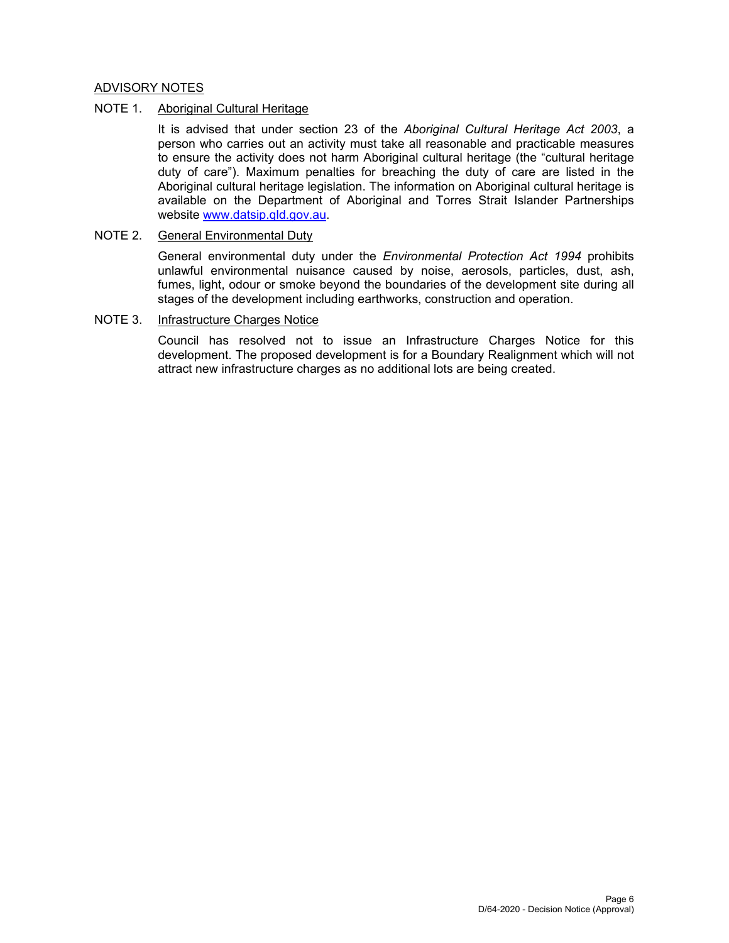## ADVISORY NOTES

## NOTE 1. Aboriginal Cultural Heritage

It is advised that under section 23 of the *Aboriginal Cultural Heritage Act 2003*, a person who carries out an activity must take all reasonable and practicable measures to ensure the activity does not harm Aboriginal cultural heritage (the "cultural heritage duty of care"). Maximum penalties for breaching the duty of care are listed in the Aboriginal cultural heritage legislation. The information on Aboriginal cultural heritage is available on the Department of Aboriginal and Torres Strait Islander Partnerships website www.datsip.qld.gov.au.

## NOTE 2. General Environmental Duty

General environmental duty under the *Environmental Protection Act 1994* prohibits unlawful environmental nuisance caused by noise, aerosols, particles, dust, ash, fumes, light, odour or smoke beyond the boundaries of the development site during all stages of the development including earthworks, construction and operation.

## NOTE 3. Infrastructure Charges Notice

Council has resolved not to issue an Infrastructure Charges Notice for this development. The proposed development is for a Boundary Realignment which will not attract new infrastructure charges as no additional lots are being created.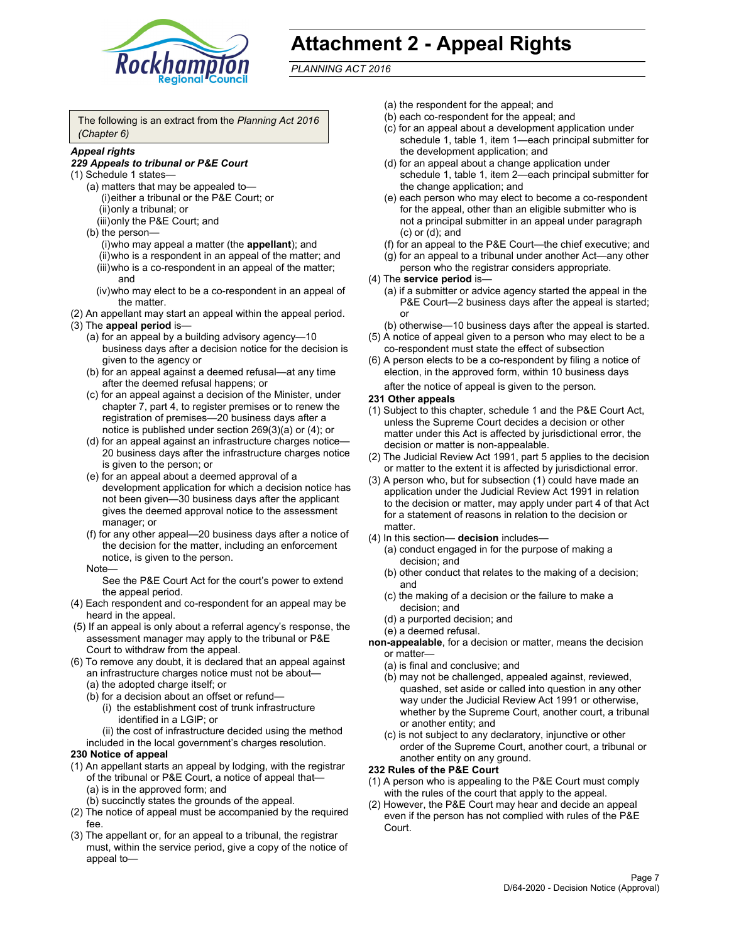

# **Attachment 2 - Appeal Rights**

*PLANNING ACT 2016*

The following is an extract from the *Planning Act 2016 (Chapter 6)*

## *Appeal rights*

#### *229 Appeals to tribunal or P&E Court*

- (1) Schedule 1 states—
	- (a) matters that may be appealed to— (i) either a tribunal or the P&E Court; or (ii) only a tribunal; or (iii) only the P&E Court; and
	- (b) the person—
		- (i) who may appeal a matter (the **appellant**); and
		- (ii) who is a respondent in an appeal of the matter; and (iii) who is a co-respondent in an appeal of the matter; and
		- (iv) who may elect to be a co-respondent in an appeal of the matter.
- (2) An appellant may start an appeal within the appeal period.
- (3) The **appeal period** is—
	- (a) for an appeal by a building advisory agency—10 business days after a decision notice for the decision is given to the agency or
	- (b) for an appeal against a deemed refusal—at any time after the deemed refusal happens; or
	- (c) for an appeal against a decision of the Minister, under chapter 7, part 4, to register premises or to renew the registration of premises—20 business days after a notice is published under section 269(3)(a) or (4); or
	- (d) for an appeal against an infrastructure charges notice— 20 business days after the infrastructure charges notice is given to the person; or
	- (e) for an appeal about a deemed approval of a development application for which a decision notice has not been given—30 business days after the applicant gives the deemed approval notice to the assessment manager; or
	- (f) for any other appeal—20 business days after a notice of the decision for the matter, including an enforcement notice, is given to the person.

#### Note—

See the P&E Court Act for the court's power to extend the appeal period.

- (4) Each respondent and co-respondent for an appeal may be heard in the appeal.
- (5) If an appeal is only about a referral agency's response, the assessment manager may apply to the tribunal or P&E Court to withdraw from the appeal.
- (6) To remove any doubt, it is declared that an appeal against an infrastructure charges notice must not be about— (a) the adopted charge itself; or
	- (b) for a decision about an offset or refund—
		- (i) the establishment cost of trunk infrastructure identified in a LGIP; or
		- (ii) the cost of infrastructure decided using the method
	- included in the local government's charges resolution.

## **230 Notice of appeal**

- (1) An appellant starts an appeal by lodging, with the registrar of the tribunal or P&E Court, a notice of appeal that— (a) is in the approved form; and
	- (b) succinctly states the grounds of the appeal.
- (2) The notice of appeal must be accompanied by the required fee.
- (3) The appellant or, for an appeal to a tribunal, the registrar must, within the service period, give a copy of the notice of appeal to—
- (a) the respondent for the appeal; and
- (b) each co-respondent for the appeal; and
- (c) for an appeal about a development application under schedule 1, table 1, item 1—each principal submitter for the development application; and
- (d) for an appeal about a change application under schedule 1, table 1, item 2—each principal submitter for the change application; and
- (e) each person who may elect to become a co-respondent for the appeal, other than an eligible submitter who is not a principal submitter in an appeal under paragraph (c) or (d); and
- (f) for an appeal to the P&E Court—the chief executive; and
- (g) for an appeal to a tribunal under another Act—any other person who the registrar considers appropriate.
- (4) The **service period** is—
	- (a) if a submitter or advice agency started the appeal in the P&E Court-2 business days after the appeal is started; or
	- (b) otherwise—10 business days after the appeal is started.
- (5) A notice of appeal given to a person who may elect to be a co-respondent must state the effect of subsection
- (6) A person elects to be a co-respondent by filing a notice of election, in the approved form, within 10 business days
	- after the notice of appeal is given to the person*.*
- **231 Other appeals**
- (1) Subject to this chapter, schedule 1 and the P&E Court Act, unless the Supreme Court decides a decision or other matter under this Act is affected by jurisdictional error, the decision or matter is non-appealable.
- (2) The Judicial Review Act 1991, part 5 applies to the decision or matter to the extent it is affected by jurisdictional error.
- (3) A person who, but for subsection (1) could have made an application under the Judicial Review Act 1991 in relation to the decision or matter, may apply under part 4 of that Act for a statement of reasons in relation to the decision or matter.
- (4) In this section— **decision** includes—
	- (a) conduct engaged in for the purpose of making a decision; and
	- (b) other conduct that relates to the making of a decision; and
	- (c) the making of a decision or the failure to make a decision; and
	- (d) a purported decision; and
	- (e) a deemed refusal.

**non-appealable**, for a decision or matter, means the decision or matter—

- (a) is final and conclusive; and
- (b) may not be challenged, appealed against, reviewed, quashed, set aside or called into question in any other way under the Judicial Review Act 1991 or otherwise, whether by the Supreme Court, another court, a tribunal or another entity; and
- (c) is not subject to any declaratory, injunctive or other order of the Supreme Court, another court, a tribunal or another entity on any ground.

#### **232 Rules of the P&E Court**

- (1) A person who is appealing to the P&E Court must comply with the rules of the court that apply to the appeal.
- (2) However, the P&E Court may hear and decide an appeal even if the person has not complied with rules of the P&E Court.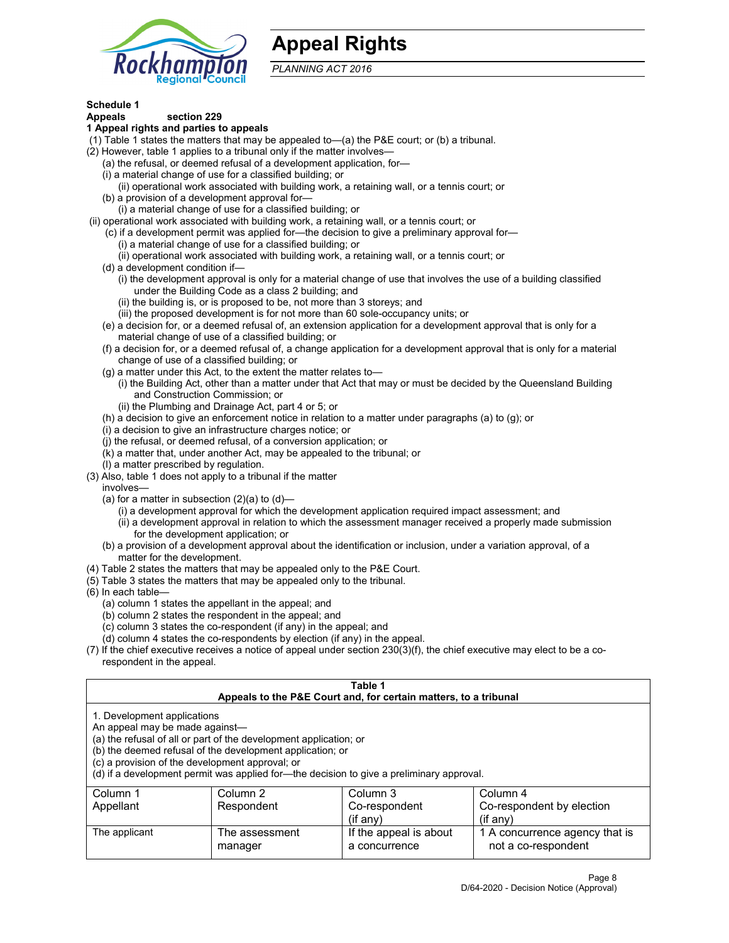

## **Appeal Rights**

*PLANNING ACT 2016*

## **Schedule 1**

## **Appeals section 229**

- **1 Appeal rights and parties to appeals**
- (1) Table 1 states the matters that may be appealed to—(a) the P&E court; or (b) a tribunal.
- (2) However, table 1 applies to a tribunal only if the matter involves—
	- (a) the refusal, or deemed refusal of a development application, for—
	- (i) a material change of use for a classified building; or
	- (ii) operational work associated with building work, a retaining wall, or a tennis court; or
	- (b) a provision of a development approval for—
	- (i) a material change of use for a classified building; or
- (ii) operational work associated with building work, a retaining wall, or a tennis court; or
	- (c) if a development permit was applied for—the decision to give a preliminary approval for—
		- (i) a material change of use for a classified building; or
	- (ii) operational work associated with building work, a retaining wall, or a tennis court; or
	- (d) a development condition if—
		- (i) the development approval is only for a material change of use that involves the use of a building classified under the Building Code as a class 2 building; and
		- (ii) the building is, or is proposed to be, not more than 3 storeys; and
		- (iii) the proposed development is for not more than 60 sole-occupancy units; or
	- (e) a decision for, or a deemed refusal of, an extension application for a development approval that is only for a material change of use of a classified building; or
	- (f) a decision for, or a deemed refusal of, a change application for a development approval that is only for a material change of use of a classified building; or
	- (g) a matter under this Act, to the extent the matter relates to—
		- (i) the Building Act, other than a matter under that Act that may or must be decided by the Queensland Building and Construction Commission; or
		- (ii) the Plumbing and Drainage Act, part 4 or 5; or
	- (h) a decision to give an enforcement notice in relation to a matter under paragraphs (a) to (g); or
	- (i) a decision to give an infrastructure charges notice; or
	- (j) the refusal, or deemed refusal, of a conversion application; or
	- (k) a matter that, under another Act, may be appealed to the tribunal; or
	- (l) a matter prescribed by regulation.
- (3) Also, table 1 does not apply to a tribunal if the matter
	- involves—
		- (a) for a matter in subsection  $(2)(a)$  to  $(d)$ 
			- (i) a development approval for which the development application required impact assessment; and
			- (ii) a development approval in relation to which the assessment manager received a properly made submission for the development application; or
	- (b) a provision of a development approval about the identification or inclusion, under a variation approval, of a matter for the development.
- (4) Table 2 states the matters that may be appealed only to the P&E Court.
- (5) Table 3 states the matters that may be appealed only to the tribunal.
- (6) In each table—
	- (a) column 1 states the appellant in the appeal; and
	- (b) column 2 states the respondent in the appeal; and
	- (c) column 3 states the co-respondent (if any) in the appeal; and
	- (d) column 4 states the co-respondents by election (if any) in the appeal.
- (7) If the chief executive receives a notice of appeal under section 230(3)(f), the chief executive may elect to be a corespondent in the appeal.

| Table 1<br>Appeals to the P&E Court and, for certain matters, to a tribunal                                      |                                                                                                                                                                                                                            |                                         |                                                       |  |  |
|------------------------------------------------------------------------------------------------------------------|----------------------------------------------------------------------------------------------------------------------------------------------------------------------------------------------------------------------------|-----------------------------------------|-------------------------------------------------------|--|--|
| 1. Development applications<br>An appeal may be made against-<br>(c) a provision of the development approval; or | (a) the refusal of all or part of the development application; or<br>(b) the deemed refusal of the development application; or<br>(d) if a development permit was applied for—the decision to give a preliminary approval. |                                         |                                                       |  |  |
| Column 1                                                                                                         | Column 2                                                                                                                                                                                                                   | Column 3                                | Column 4                                              |  |  |
| Appellant                                                                                                        | Respondent                                                                                                                                                                                                                 | Co-respondent                           | Co-respondent by election                             |  |  |
|                                                                                                                  | $(if$ anv)<br>$($ if any $)$                                                                                                                                                                                               |                                         |                                                       |  |  |
| The applicant                                                                                                    | The assessment<br>manager                                                                                                                                                                                                  | If the appeal is about<br>a concurrence | 1 A concurrence agency that is<br>not a co-respondent |  |  |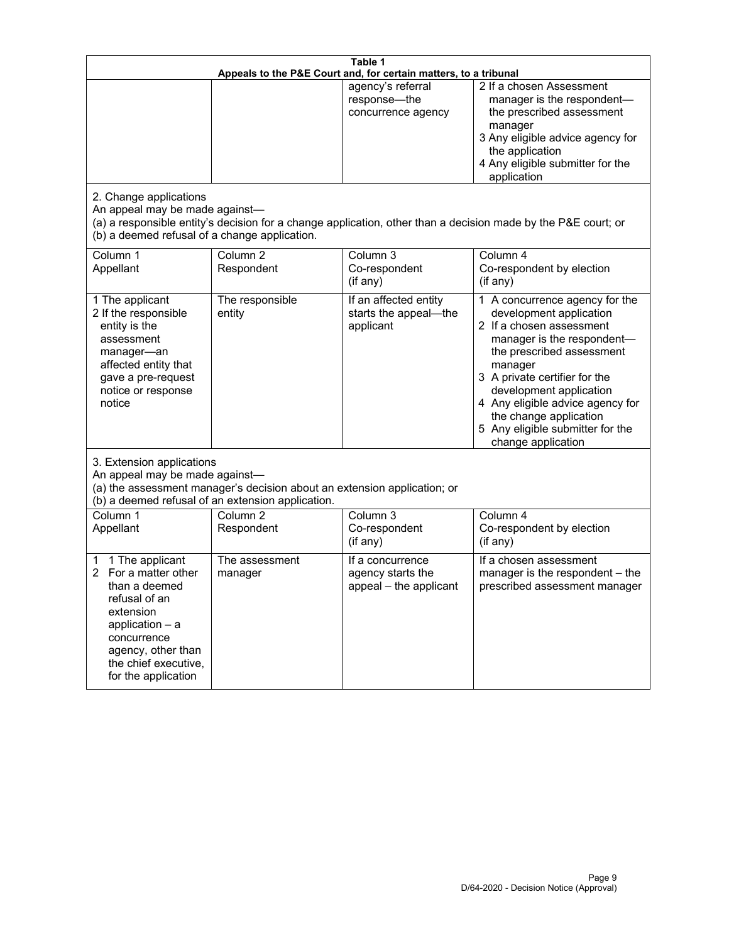| Table 1<br>Appeals to the P&E Court and, for certain matters, to a tribunal                                                                                                                             |                                                                                                                               |                                                                 |                                                                                                                                                                                                                                                                                                                                                 |  |
|---------------------------------------------------------------------------------------------------------------------------------------------------------------------------------------------------------|-------------------------------------------------------------------------------------------------------------------------------|-----------------------------------------------------------------|-------------------------------------------------------------------------------------------------------------------------------------------------------------------------------------------------------------------------------------------------------------------------------------------------------------------------------------------------|--|
| 2. Change applications<br>An appeal may be made against-<br>(b) a deemed refusal of a change application.                                                                                               |                                                                                                                               | agency's referral<br>response-the<br>concurrence agency         | 2 If a chosen Assessment<br>manager is the respondent-<br>the prescribed assessment<br>manager<br>3 Any eligible advice agency for<br>the application<br>4 Any eligible submitter for the<br>application<br>(a) a responsible entity's decision for a change application, other than a decision made by the P&E court; or                       |  |
| Column 1<br>Appellant                                                                                                                                                                                   | Column <sub>2</sub><br>Respondent                                                                                             | Column 3<br>Co-respondent<br>(if any)                           | Column 4<br>Co-respondent by election<br>(if any)                                                                                                                                                                                                                                                                                               |  |
| 1 The applicant<br>2 If the responsible<br>entity is the<br>assessment<br>manager-an<br>affected entity that<br>gave a pre-request<br>notice or response<br>notice                                      | The responsible<br>entity                                                                                                     | If an affected entity<br>starts the appeal-the<br>applicant     | 1 A concurrence agency for the<br>development application<br>2 If a chosen assessment<br>manager is the respondent-<br>the prescribed assessment<br>manager<br>3 A private certifier for the<br>development application<br>4 Any eligible advice agency for<br>the change application<br>5 Any eligible submitter for the<br>change application |  |
| 3. Extension applications<br>An appeal may be made against-                                                                                                                                             | (a) the assessment manager's decision about an extension application; or<br>(b) a deemed refusal of an extension application. |                                                                 |                                                                                                                                                                                                                                                                                                                                                 |  |
| Column 1<br>Appellant                                                                                                                                                                                   | Column <sub>2</sub><br>Respondent                                                                                             | Column 3<br>Co-respondent<br>(if any)                           | Column 4<br>Co-respondent by election<br>(if any)                                                                                                                                                                                                                                                                                               |  |
| 1 The applicant<br>1<br>For a matter other<br>2<br>than a deemed<br>refusal of an<br>extension<br>application $-$ a<br>concurrence<br>agency, other than<br>the chief executive,<br>for the application | The assessment<br>manager                                                                                                     | If a concurrence<br>agency starts the<br>appeal - the applicant | If a chosen assessment<br>manager is the respondent - the<br>prescribed assessment manager                                                                                                                                                                                                                                                      |  |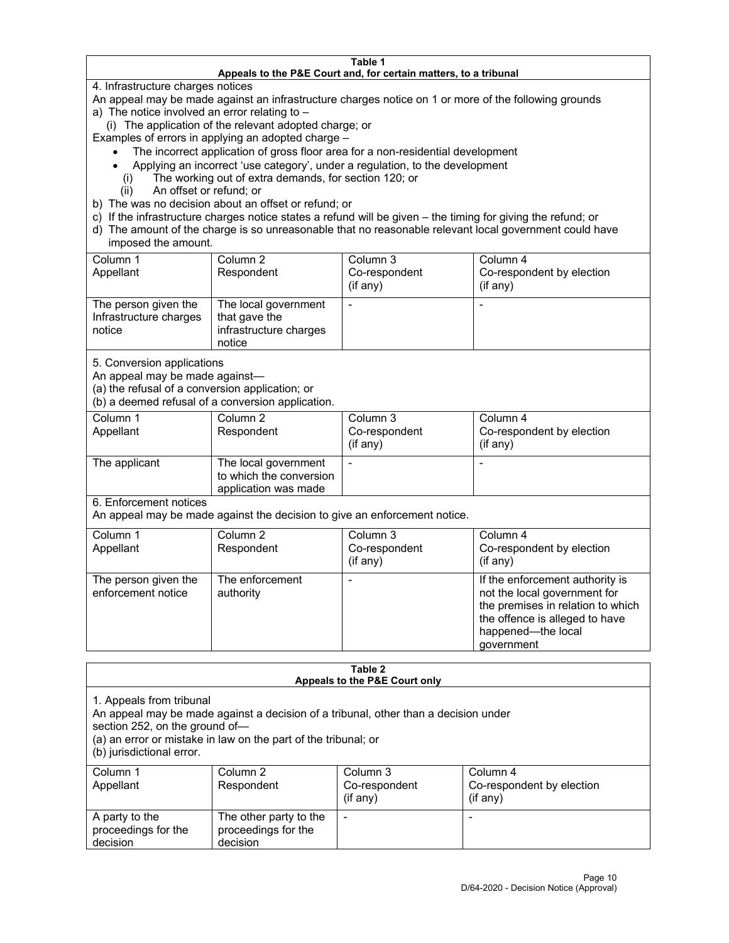#### **Table 1 Appeals to the P&E Court and, for certain matters, to a tribunal**

4. Infrastructure charges notices

An appeal may be made against an infrastructure charges notice on 1 or more of the following grounds

- a) The notice involved an error relating to
	- (i) The application of the relevant adopted charge; or

Examples of errors in applying an adopted charge –

- The incorrect application of gross floor area for a non-residential development
- Applying an incorrect 'use category', under a regulation, to the development
- (i) The working out of extra demands, for section 120; or
- (ii) An offset or refund; or
- b) The was no decision about an offset or refund; or
- c) If the infrastructure charges notice states a refund will be given the timing for giving the refund; or
- d) The amount of the charge is so unreasonable that no reasonable relevant local government could have imposed the amount.

| Column 1<br>Appellant                                    | Column 2<br>Respondent                                                    | Column 3<br>Co-respondent<br>(i f any) | Column 4<br>Co-respondent by election<br>(i f any) |
|----------------------------------------------------------|---------------------------------------------------------------------------|----------------------------------------|----------------------------------------------------|
| The person given the<br>Infrastructure charges<br>notice | The local government<br>that gave the<br>infrastructure charges<br>notice |                                        |                                                    |

5. Conversion applications

An appeal may be made against—

(a) the refusal of a conversion application; or

(b) a deemed refusal of a conversion application.

| Column 1      | Column 2                | Column 3       | Column 4                  |
|---------------|-------------------------|----------------|---------------------------|
| Appellant     | Respondent              | Co-respondent  | Co-respondent by election |
|               |                         | $($ if any $)$ | $($ if any $)$            |
|               |                         |                |                           |
| The applicant | The local government    |                |                           |
|               | to which the conversion |                |                           |
|               | application was made    |                |                           |

6. Enforcement notices

An appeal may be made against the decision to give an enforcement notice.

| Column 1<br>Appellant                      | Column 2<br>Respondent       | Column 3<br>Co-respondent<br>(if any) | Column 4<br>Co-respondent by election<br>(i f any)                                                                                                                         |
|--------------------------------------------|------------------------------|---------------------------------------|----------------------------------------------------------------------------------------------------------------------------------------------------------------------------|
| The person given the<br>enforcement notice | The enforcement<br>authority |                                       | If the enforcement authority is<br>not the local government for<br>the premises in relation to which<br>the offence is alleged to have<br>happened-the local<br>government |

#### **Table 2 Appeals to the P&E Court only**

1. Appeals from tribunal

An appeal may be made against a decision of a tribunal, other than a decision under

section 252, on the ground of—

(a) an error or mistake in law on the part of the tribunal; or

(b) jurisdictional error.

| Column 1<br>Appellant                             | Column 2<br>Respondent                                    | Column 3<br>Co-respondent<br>$(if$ any) | Column 4<br>Co-respondent by election<br>$(if$ any) |
|---------------------------------------------------|-----------------------------------------------------------|-----------------------------------------|-----------------------------------------------------|
| A party to the<br>proceedings for the<br>decision | The other party to the<br>proceedings for the<br>decision | $\overline{\phantom{a}}$                |                                                     |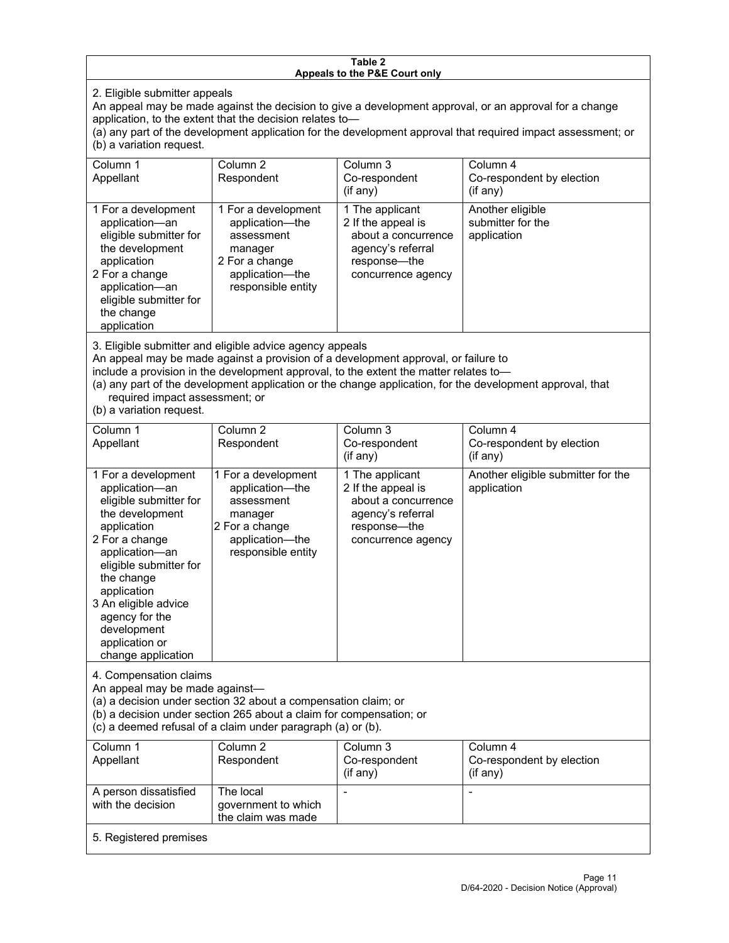#### **Table 2 Appeals to the P&E Court only**

2. Eligible submitter appeals

An appeal may be made against the decision to give a development approval, or an approval for a change application, to the extent that the decision relates to—

(a) any part of the development application for the development approval that required impact assessment; or (b) a variation request.

| Column 1<br>Appellant                                                                                                                                                                        | Column 2<br>Respondent                                                                                                     | Column 3<br>Co-respondent<br>$($ if any $)$                                                                             | Column 4<br>Co-respondent by election<br>(i f any)   |
|----------------------------------------------------------------------------------------------------------------------------------------------------------------------------------------------|----------------------------------------------------------------------------------------------------------------------------|-------------------------------------------------------------------------------------------------------------------------|------------------------------------------------------|
| 1 For a development<br>application-an<br>eligible submitter for<br>the development<br>application<br>2 For a change<br>application-an<br>eligible submitter for<br>the change<br>application | 1 For a development<br>application-the<br>assessment<br>manager<br>2 For a change<br>application-the<br>responsible entity | 1 The applicant<br>2 If the appeal is<br>about a concurrence<br>agency's referral<br>response—the<br>concurrence agency | Another eligible<br>submitter for the<br>application |

3. Eligible submitter and eligible advice agency appeals

An appeal may be made against a provision of a development approval, or failure to

include a provision in the development approval, to the extent the matter relates to—

(a) any part of the development application or the change application, for the development approval, that required impact assessment; or

(b) a variation request.

| Column <sub>1</sub><br>Appellant                                                                                                                                                                                                                                                              | Column <sub>2</sub><br>Respondent                                                                                          | Column <sub>3</sub><br>Co-respondent<br>(if any)                                                                        | Column 4<br>Co-respondent by election<br>(if any) |
|-----------------------------------------------------------------------------------------------------------------------------------------------------------------------------------------------------------------------------------------------------------------------------------------------|----------------------------------------------------------------------------------------------------------------------------|-------------------------------------------------------------------------------------------------------------------------|---------------------------------------------------|
| 1 For a development<br>application-an<br>eligible submitter for<br>the development<br>application<br>2 For a change<br>application-an<br>eligible submitter for<br>the change<br>application<br>3 An eligible advice<br>agency for the<br>development<br>application or<br>change application | 1 For a development<br>application-the<br>assessment<br>manager<br>2 For a change<br>application-the<br>responsible entity | 1 The applicant<br>2 If the appeal is<br>about a concurrence<br>agency's referral<br>response-the<br>concurrence agency | Another eligible submitter for the<br>application |
| 4. Compensation claims<br>An appeal may be made against-<br>(a) a decision under section 32 about a compensation claim; or<br>(b) a decision under section 265 about a claim for compensation; or<br>(c) a deemed refusal of a claim under paragraph (a) or (b).                              |                                                                                                                            |                                                                                                                         |                                                   |
| Column <sub>1</sub><br>Appellant                                                                                                                                                                                                                                                              | Column <sub>2</sub><br>Respondent                                                                                          | Column <sub>3</sub><br>Co-respondent<br>(if any)                                                                        | Column 4<br>Co-respondent by election<br>(if any) |
| A person dissatisfied<br>with the decision                                                                                                                                                                                                                                                    | The local<br>government to which<br>the claim was made                                                                     |                                                                                                                         |                                                   |
| 5. Registered premises                                                                                                                                                                                                                                                                        |                                                                                                                            |                                                                                                                         |                                                   |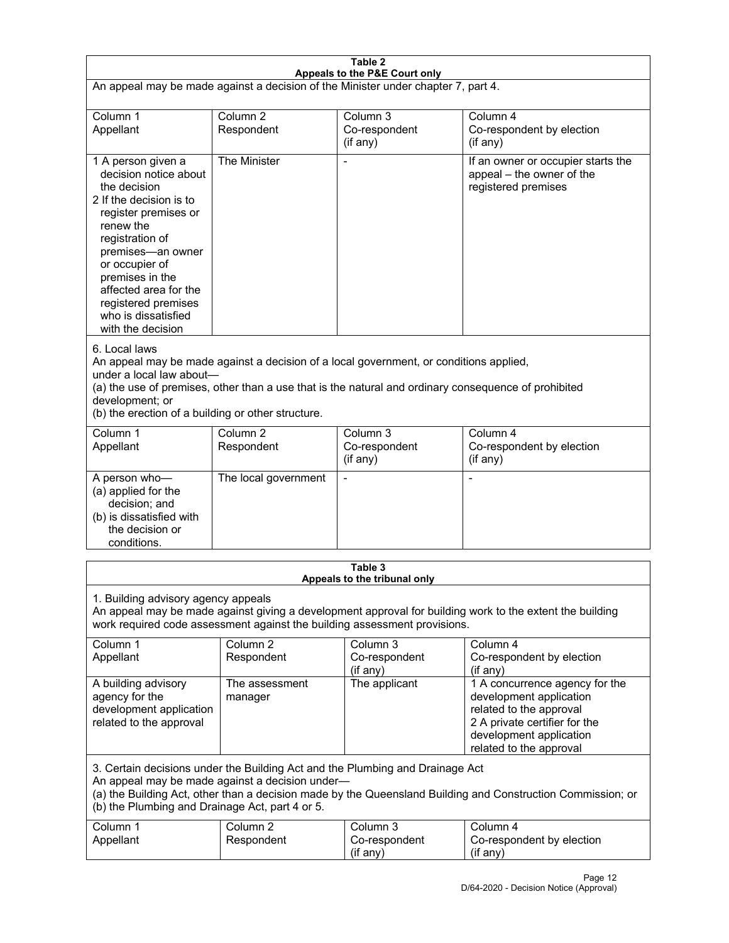| Table 2<br>Appeals to the P&E Court only                                                                                                                                                                                                                                                                             |                                   |                                                  |                                                                                                                                                                             |  |
|----------------------------------------------------------------------------------------------------------------------------------------------------------------------------------------------------------------------------------------------------------------------------------------------------------------------|-----------------------------------|--------------------------------------------------|-----------------------------------------------------------------------------------------------------------------------------------------------------------------------------|--|
| An appeal may be made against a decision of the Minister under chapter 7, part 4.                                                                                                                                                                                                                                    |                                   |                                                  |                                                                                                                                                                             |  |
|                                                                                                                                                                                                                                                                                                                      |                                   |                                                  |                                                                                                                                                                             |  |
| Column 1<br>Appellant                                                                                                                                                                                                                                                                                                | Column <sub>2</sub><br>Respondent | Column <sub>3</sub><br>Co-respondent<br>(if any) | Column 4<br>Co-respondent by election<br>$($ if any $)$                                                                                                                     |  |
| 1 A person given a<br>decision notice about<br>the decision<br>2 If the decision is to<br>register premises or<br>renew the<br>registration of<br>premises-an owner<br>or occupier of<br>premises in the<br>affected area for the<br>registered premises<br>who is dissatisfied<br>with the decision                 | The Minister                      |                                                  | If an owner or occupier starts the<br>appeal - the owner of the<br>registered premises                                                                                      |  |
| 6. Local laws<br>An appeal may be made against a decision of a local government, or conditions applied,<br>under a local law about-<br>(a) the use of premises, other than a use that is the natural and ordinary consequence of prohibited<br>development; or<br>(b) the erection of a building or other structure. |                                   |                                                  |                                                                                                                                                                             |  |
| Column 1<br>Appellant                                                                                                                                                                                                                                                                                                | Column <sub>2</sub><br>Respondent | Column 3<br>Co-respondent<br>(if any)            | Column 4<br>Co-respondent by election<br>(if any)                                                                                                                           |  |
| A person who-<br>(a) applied for the<br>decision; and<br>(b) is dissatisfied with<br>the decision or<br>conditions.                                                                                                                                                                                                  | The local government              | $\blacksquare$                                   | $\blacksquare$                                                                                                                                                              |  |
|                                                                                                                                                                                                                                                                                                                      |                                   | Table 3                                          |                                                                                                                                                                             |  |
| Appeals to the tribunal only<br>1. Building advisory agency appeals<br>An appeal may be made against giving a development approval for building work to the extent the building<br>work required code assessment against the building assessment provisions.                                                         |                                   |                                                  |                                                                                                                                                                             |  |
| Column 1<br>Appellant                                                                                                                                                                                                                                                                                                | Column <sub>2</sub><br>Respondent | Column <sub>3</sub><br>Co-respondent<br>(if any) | Column 4<br>Co-respondent by election<br>(if any)                                                                                                                           |  |
| A building advisory<br>agency for the<br>development application<br>related to the approval                                                                                                                                                                                                                          | The assessment<br>manager         | The applicant                                    | 1 A concurrence agency for the<br>development application<br>related to the approval<br>2 A private certifier for the<br>development application<br>related to the approval |  |
| 3. Certain decisions under the Building Act and the Plumbing and Drainage Act<br>An appeal may be made against a decision under-<br>(a) the Building Act, other than a decision made by the Queensland Building and Construction Commission; or<br>(b) the Plumbing and Drainage Act, part 4 or 5.                   |                                   |                                                  |                                                                                                                                                                             |  |
| Column 1<br>Appellant                                                                                                                                                                                                                                                                                                | Column <sub>2</sub><br>Respondent | Column 3<br>Co-respondent<br>(if any)            | Column 4<br>Co-respondent by election<br>(if any)                                                                                                                           |  |